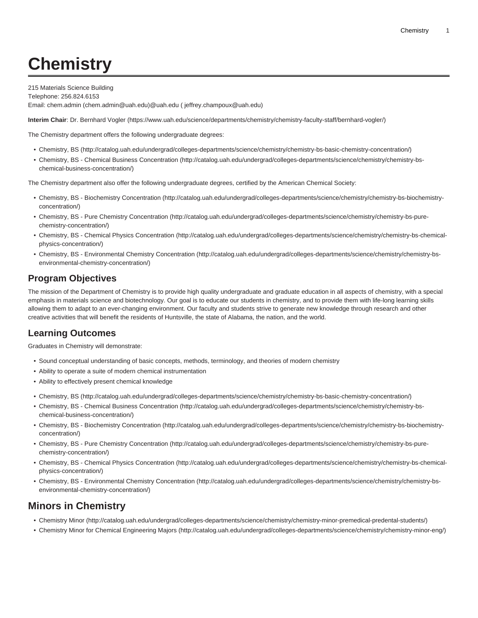## **Chemistry**

215 Materials Science Building Telephone: 256.824.6153 Email: [chem.admin](mailto:chem.admin@uah.edu) ([chem.admin@uah.edu\)](chem.admin@uah.edu)[@uah.edu](mailto: jeffrey.champoux@uah.edu) [\( jeffrey.champoux@uah.edu](jeffrey.champoux@uah.edu))

**Interim Chair**: [Dr. Bernhard Vogler](https://www.uah.edu/science/departments/chemistry/chemistry-faculty-staff/bernhard-vogler/) ([https://www.uah.edu/science/departments/chemistry/chemistry-faculty-staff/bernhard-vogler/\)](https://www.uah.edu/science/departments/chemistry/chemistry-faculty-staff/bernhard-vogler/)

The Chemistry department offers the following undergraduate degrees:

- [Chemistry, BS](http://catalog.uah.edu/undergrad/colleges-departments/science/chemistry/chemistry-bs-basic-chemistry-concentration/) [\(http://catalog.uah.edu/undergrad/colleges-departments/science/chemistry/chemistry-bs-basic-chemistry-concentration/\)](http://catalog.uah.edu/undergrad/colleges-departments/science/chemistry/chemistry-bs-basic-chemistry-concentration/)
- [Chemistry, BS Chemical Business Concentration](http://catalog.uah.edu/undergrad/colleges-departments/science/chemistry/chemistry-bs-chemical-business-concentration/) [\(http://catalog.uah.edu/undergrad/colleges-departments/science/chemistry/chemistry-bs](http://catalog.uah.edu/undergrad/colleges-departments/science/chemistry/chemistry-bs-chemical-business-concentration/)[chemical-business-concentration/\)](http://catalog.uah.edu/undergrad/colleges-departments/science/chemistry/chemistry-bs-chemical-business-concentration/)

The Chemistry department also offer the following undergraduate degrees, certified by the American Chemical Society:

- [Chemistry, BS Biochemistry Concentration](http://catalog.uah.edu/undergrad/colleges-departments/science/chemistry/chemistry-bs-biochemistry-concentration/) ([http://catalog.uah.edu/undergrad/colleges-departments/science/chemistry/chemistry-bs-biochemistry](http://catalog.uah.edu/undergrad/colleges-departments/science/chemistry/chemistry-bs-biochemistry-concentration/)[concentration/](http://catalog.uah.edu/undergrad/colleges-departments/science/chemistry/chemistry-bs-biochemistry-concentration/))
- [Chemistry, BS Pure Chemistry Concentration](http://catalog.uah.edu/undergrad/colleges-departments/science/chemistry/chemistry-bs-pure-chemistry-concentration/) [\(http://catalog.uah.edu/undergrad/colleges-departments/science/chemistry/chemistry-bs-pure](http://catalog.uah.edu/undergrad/colleges-departments/science/chemistry/chemistry-bs-pure-chemistry-concentration/)[chemistry-concentration/](http://catalog.uah.edu/undergrad/colleges-departments/science/chemistry/chemistry-bs-pure-chemistry-concentration/))
- [Chemistry, BS Chemical Physics Concentration](http://catalog.uah.edu/undergrad/colleges-departments/science/chemistry/chemistry-bs-chemical-physics-concentration/) [\(http://catalog.uah.edu/undergrad/colleges-departments/science/chemistry/chemistry-bs-chemical](http://catalog.uah.edu/undergrad/colleges-departments/science/chemistry/chemistry-bs-chemical-physics-concentration/)[physics-concentration/\)](http://catalog.uah.edu/undergrad/colleges-departments/science/chemistry/chemistry-bs-chemical-physics-concentration/)
- [Chemistry, BS Environmental Chemistry Concentration \(http://catalog.uah.edu/undergrad/colleges-departments/science/chemistry/chemistry-bs](http://catalog.uah.edu/undergrad/colleges-departments/science/chemistry/chemistry-bs-environmental-chemistry-concentration/)[environmental-chemistry-concentration/](http://catalog.uah.edu/undergrad/colleges-departments/science/chemistry/chemistry-bs-environmental-chemistry-concentration/))

## **Program Objectives**

The mission of the Department of Chemistry is to provide high quality undergraduate and graduate education in all aspects of chemistry, with a special emphasis in materials science and biotechnology. Our goal is to educate our students in chemistry, and to provide them with life-long learning skills allowing them to adapt to an ever-changing environment. Our faculty and students strive to generate new knowledge through research and other creative activities that will benefit the residents of Huntsville, the state of Alabama, the nation, and the world.

## **Learning Outcomes**

Graduates in Chemistry will demonstrate:

- Sound conceptual understanding of basic concepts, methods, terminology, and theories of modern chemistry
- Ability to operate a suite of modern chemical instrumentation
- Ability to effectively present chemical knowledge
- [Chemistry, BS](http://catalog.uah.edu/undergrad/colleges-departments/science/chemistry/chemistry-bs-basic-chemistry-concentration/) [\(http://catalog.uah.edu/undergrad/colleges-departments/science/chemistry/chemistry-bs-basic-chemistry-concentration/\)](http://catalog.uah.edu/undergrad/colleges-departments/science/chemistry/chemistry-bs-basic-chemistry-concentration/)
- [Chemistry, BS Chemical Business Concentration](http://catalog.uah.edu/undergrad/colleges-departments/science/chemistry/chemistry-bs-chemical-business-concentration/) [\(http://catalog.uah.edu/undergrad/colleges-departments/science/chemistry/chemistry-bs](http://catalog.uah.edu/undergrad/colleges-departments/science/chemistry/chemistry-bs-chemical-business-concentration/)[chemical-business-concentration/\)](http://catalog.uah.edu/undergrad/colleges-departments/science/chemistry/chemistry-bs-chemical-business-concentration/)
- [Chemistry, BS Biochemistry Concentration](http://catalog.uah.edu/undergrad/colleges-departments/science/chemistry/chemistry-bs-biochemistry-concentration/) ([http://catalog.uah.edu/undergrad/colleges-departments/science/chemistry/chemistry-bs-biochemistry](http://catalog.uah.edu/undergrad/colleges-departments/science/chemistry/chemistry-bs-biochemistry-concentration/)[concentration/](http://catalog.uah.edu/undergrad/colleges-departments/science/chemistry/chemistry-bs-biochemistry-concentration/))
- [Chemistry, BS Pure Chemistry Concentration](http://catalog.uah.edu/undergrad/colleges-departments/science/chemistry/chemistry-bs-pure-chemistry-concentration/) [\(http://catalog.uah.edu/undergrad/colleges-departments/science/chemistry/chemistry-bs-pure](http://catalog.uah.edu/undergrad/colleges-departments/science/chemistry/chemistry-bs-pure-chemistry-concentration/)[chemistry-concentration/](http://catalog.uah.edu/undergrad/colleges-departments/science/chemistry/chemistry-bs-pure-chemistry-concentration/))
- [Chemistry, BS Chemical Physics Concentration](http://catalog.uah.edu/undergrad/colleges-departments/science/chemistry/chemistry-bs-chemical-physics-concentration/) [\(http://catalog.uah.edu/undergrad/colleges-departments/science/chemistry/chemistry-bs-chemical](http://catalog.uah.edu/undergrad/colleges-departments/science/chemistry/chemistry-bs-chemical-physics-concentration/)[physics-concentration/\)](http://catalog.uah.edu/undergrad/colleges-departments/science/chemistry/chemistry-bs-chemical-physics-concentration/)
- [Chemistry, BS Environmental Chemistry Concentration \(http://catalog.uah.edu/undergrad/colleges-departments/science/chemistry/chemistry-bs](http://catalog.uah.edu/undergrad/colleges-departments/science/chemistry/chemistry-bs-environmental-chemistry-concentration/)[environmental-chemistry-concentration/](http://catalog.uah.edu/undergrad/colleges-departments/science/chemistry/chemistry-bs-environmental-chemistry-concentration/))

## **Minors in Chemistry**

- [Chemistry Minor](http://catalog.uah.edu/undergrad/colleges-departments/science/chemistry/chemistry-minor-premedical-predental-students/) [\(http://catalog.uah.edu/undergrad/colleges-departments/science/chemistry/chemistry-minor-premedical-predental-students/](http://catalog.uah.edu/undergrad/colleges-departments/science/chemistry/chemistry-minor-premedical-predental-students/))
- [Chemistry Minor for Chemical Engineering Majors](http://catalog.uah.edu/undergrad/colleges-departments/science/chemistry/chemistry-minor-eng/) [\(http://catalog.uah.edu/undergrad/colleges-departments/science/chemistry/chemistry-minor-eng/\)](http://catalog.uah.edu/undergrad/colleges-departments/science/chemistry/chemistry-minor-eng/)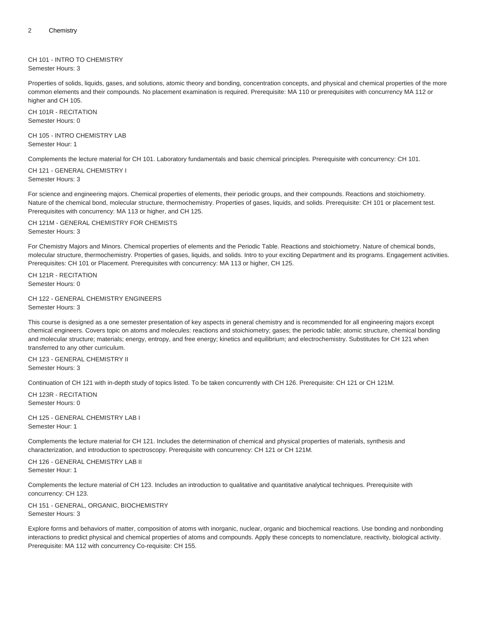CH 101 - INTRO TO CHEMISTRY Semester Hours: 3

Properties of solids, liquids, gases, and solutions, atomic theory and bonding, concentration concepts, and physical and chemical properties of the more common elements and their compounds. No placement examination is required. Prerequisite: MA 110 or prerequisites with concurrency MA 112 or higher and CH 105.

CH 101R - RECITATION Semester Hours: 0

CH 105 - INTRO CHEMISTRY LAB Semester Hour: 1

Complements the lecture material for CH 101. Laboratory fundamentals and basic chemical principles. Prerequisite with concurrency: CH 101.

CH 121 - GENERAL CHEMISTRY I Semester Hours: 3

For science and engineering majors. Chemical properties of elements, their periodic groups, and their compounds. Reactions and stoichiometry. Nature of the chemical bond, molecular structure, thermochemistry. Properties of gases, liquids, and solids. Prerequisite: CH 101 or placement test. Prerequisites with concurrency: MA 113 or higher, and CH 125.

CH 121M - GENERAL CHEMISTRY FOR CHEMISTS Semester Hours: 3

For Chemistry Majors and Minors. Chemical properties of elements and the Periodic Table. Reactions and stoichiometry. Nature of chemical bonds, molecular structure, thermochemistry. Properties of gases, liquids, and solids. Intro to your exciting Department and its programs. Engagement activities. Prerequisites: CH 101 or Placement. Prerequisites with concurrency: MA 113 or higher, CH 125.

CH 121R - RECITATION Semester Hours: 0

CH 122 - GENERAL CHEMISTRY ENGINEERS Semester Hours: 3

This course is designed as a one semester presentation of key aspects in general chemistry and is recommended for all engineering majors except chemical engineers. Covers topic on atoms and molecules: reactions and stoichiometry; gases; the periodic table; atomic structure, chemical bonding and molecular structure; materials; energy, entropy, and free energy; kinetics and equilibrium; and electrochemistry. Substitutes for CH 121 when transferred to any other curriculum.

CH 123 - GENERAL CHEMISTRY II Semester Hours: 3

Continuation of CH 121 with in-depth study of topics listed. To be taken concurrently with CH 126. Prerequisite: CH 121 or CH 121M.

CH 123R - RECITATION Semester Hours: 0

CH 125 - GENERAL CHEMISTRY LAB I Semester Hour: 1

Complements the lecture material for CH 121. Includes the determination of chemical and physical properties of materials, synthesis and characterization, and introduction to spectroscopy. Prerequisite with concurrency: CH 121 or CH 121M.

CH 126 - GENERAL CHEMISTRY LAB II Semester Hour: 1

Complements the lecture material of CH 123. Includes an introduction to qualitative and quantitative analytical techniques. Prerequisite with concurrency: CH 123.

CH 151 - GENERAL, ORGANIC, BIOCHEMISTRY Semester Hours: 3

Explore forms and behaviors of matter, composition of atoms with inorganic, nuclear, organic and biochemical reactions. Use bonding and nonbonding interactions to predict physical and chemical properties of atoms and compounds. Apply these concepts to nomenclature, reactivity, biological activity. Prerequisite: MA 112 with concurrency Co-requisite: CH 155.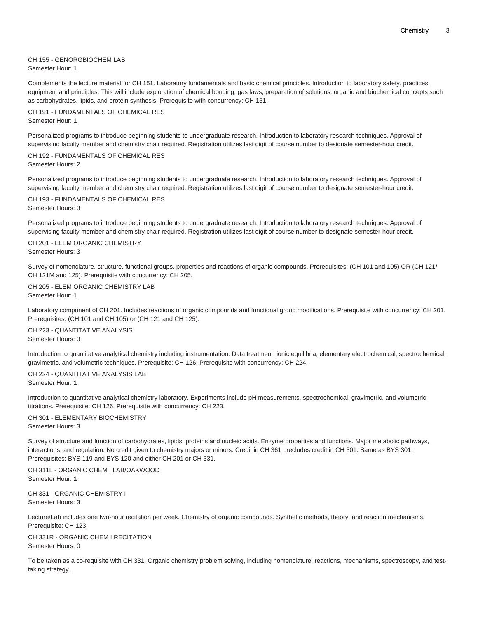CH 155 - GENORGBIOCHEM LAB Semester Hour: 1

Complements the lecture material for CH 151. Laboratory fundamentals and basic chemical principles. Introduction to laboratory safety, practices, equipment and principles. This will include exploration of chemical bonding, gas laws, preparation of solutions, organic and biochemical concepts such as carbohydrates, lipids, and protein synthesis. Prerequisite with concurrency: CH 151.

CH 191 - FUNDAMENTALS OF CHEMICAL RES Semester Hour: 1

Personalized programs to introduce beginning students to undergraduate research. Introduction to laboratory research techniques. Approval of supervising faculty member and chemistry chair required. Registration utilizes last digit of course number to designate semester-hour credit.

CH 192 - FUNDAMENTALS OF CHEMICAL RES Semester Hours: 2

Personalized programs to introduce beginning students to undergraduate research. Introduction to laboratory research techniques. Approval of supervising faculty member and chemistry chair required. Registration utilizes last digit of course number to designate semester-hour credit.

CH 193 - FUNDAMENTALS OF CHEMICAL RES Semester Hours: 3

Personalized programs to introduce beginning students to undergraduate research. Introduction to laboratory research techniques. Approval of supervising faculty member and chemistry chair required. Registration utilizes last digit of course number to designate semester-hour credit.

CH 201 - ELEM ORGANIC CHEMISTRY Semester Hours: 3

Survey of nomenclature, structure, functional groups, properties and reactions of organic compounds. Prerequisites: (CH 101 and 105) OR (CH 121/ CH 121M and 125). Prerequisite with concurrency: CH 205.

CH 205 - ELEM ORGANIC CHEMISTRY LAB Semester Hour: 1

Laboratory component of CH 201. Includes reactions of organic compounds and functional group modifications. Prerequisite with concurrency: CH 201. Prerequisites: (CH 101 and CH 105) or (CH 121 and CH 125).

CH 223 - QUANTITATIVE ANALYSIS Semester Hours: 3

Introduction to quantitative analytical chemistry including instrumentation. Data treatment, ionic equilibria, elementary electrochemical, spectrochemical, gravimetric, and volumetric techniques. Prerequisite: CH 126. Prerequisite with concurrency: CH 224.

CH 224 - QUANTITATIVE ANALYSIS LAB Semester Hour: 1

Introduction to quantitative analytical chemistry laboratory. Experiments include pH measurements, spectrochemical, gravimetric, and volumetric titrations. Prerequisite: CH 126. Prerequisite with concurrency: CH 223.

CH 301 - ELEMENTARY BIOCHEMISTRY Semester Hours: 3

Survey of structure and function of carbohydrates, lipids, proteins and nucleic acids. Enzyme properties and functions. Major metabolic pathways, interactions, and regulation. No credit given to chemistry majors or minors. Credit in CH 361 precludes credit in CH 301. Same as BYS 301. Prerequisites: BYS 119 and BYS 120 and either CH 201 or CH 331.

CH 311L - ORGANIC CHEM I LAB/OAKWOOD Semester Hour: 1

CH 331 - ORGANIC CHEMISTRY I Semester Hours: 3

Lecture/Lab includes one two-hour recitation per week. Chemistry of organic compounds. Synthetic methods, theory, and reaction mechanisms. Prerequisite: CH 123.

CH 331R - ORGANIC CHEM I RECITATION Semester Hours: 0

To be taken as a co-requisite with CH 331. Organic chemistry problem solving, including nomenclature, reactions, mechanisms, spectroscopy, and testtaking strategy.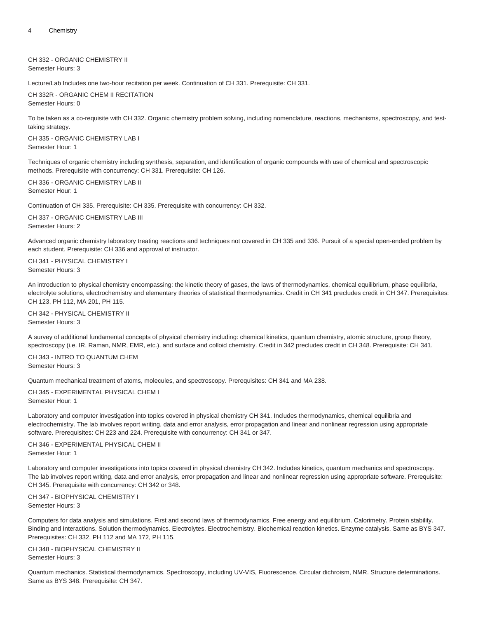CH 332 - ORGANIC CHEMISTRY II Semester Hours: 3

Lecture/Lab Includes one two-hour recitation per week. Continuation of CH 331. Prerequisite: CH 331.

CH 332R - ORGANIC CHEM II RECITATION Semester Hours: 0

To be taken as a co-requisite with CH 332. Organic chemistry problem solving, including nomenclature, reactions, mechanisms, spectroscopy, and testtaking strategy.

CH 335 - ORGANIC CHEMISTRY LAB I Semester Hour: 1

Techniques of organic chemistry including synthesis, separation, and identification of organic compounds with use of chemical and spectroscopic methods. Prerequisite with concurrency: CH 331. Prerequisite: CH 126.

CH 336 - ORGANIC CHEMISTRY LAB II Semester Hour: 1

Continuation of CH 335. Prerequisite: CH 335. Prerequisite with concurrency: CH 332.

CH 337 - ORGANIC CHEMISTRY LAB III Semester Hours: 2

Advanced organic chemistry laboratory treating reactions and techniques not covered in CH 335 and 336. Pursuit of a special open-ended problem by each student. Prerequisite: CH 336 and approval of instructor.

CH 341 - PHYSICAL CHEMISTRY I Semester Hours: 3

An introduction to physical chemistry encompassing: the kinetic theory of gases, the laws of thermodynamics, chemical equilibrium, phase equilibria, electrolyte solutions, electrochemistry and elementary theories of statistical thermodynamics. Credit in CH 341 precludes credit in CH 347. Prerequisites: CH 123, PH 112, MA 201, PH 115.

CH 342 - PHYSICAL CHEMISTRY II Semester Hours: 3

A survey of additional fundamental concepts of physical chemistry including: chemical kinetics, quantum chemistry, atomic structure, group theory, spectroscopy (i.e. IR, Raman, NMR, EMR, etc.), and surface and colloid chemistry. Credit in 342 precludes credit in CH 348. Prerequisite: CH 341.

CH 343 - INTRO TO QUANTUM CHEM Semester Hours: 3

Quantum mechanical treatment of atoms, molecules, and spectroscopy. Prerequisites: CH 341 and MA 238.

CH 345 - EXPERIMENTAL PHYSICAL CHEM I Semester Hour: 1

Laboratory and computer investigation into topics covered in physical chemistry CH 341. Includes thermodynamics, chemical equilibria and electrochemistry. The lab involves report writing, data and error analysis, error propagation and linear and nonlinear regression using appropriate software. Prerequisites: CH 223 and 224. Prerequisite with concurrency: CH 341 or 347.

CH 346 - EXPERIMENTAL PHYSICAL CHEM II Semester Hour: 1

Laboratory and computer investigations into topics covered in physical chemistry CH 342. Includes kinetics, quantum mechanics and spectroscopy. The lab involves report writing, data and error analysis, error propagation and linear and nonlinear regression using appropriate software. Prerequisite: CH 345. Prerequisite with concurrency: CH 342 or 348.

CH 347 - BIOPHYSICAL CHEMISTRY I Semester Hours: 3

Computers for data analysis and simulations. First and second laws of thermodynamics. Free energy and equilibrium. Calorimetry. Protein stability. Binding and Interactions. Solution thermodynamics. Electrolytes. Electrochemistry. Biochemical reaction kinetics. Enzyme catalysis. Same as BYS 347. Prerequisites: CH 332, PH 112 and MA 172, PH 115.

CH 348 - BIOPHYSICAL CHEMISTRY II Semester Hours: 3

Quantum mechanics. Statistical thermodynamics. Spectroscopy, including UV-VIS, Fluorescence. Circular dichroism, NMR. Structure determinations. Same as BYS 348. Prerequisite: CH 347.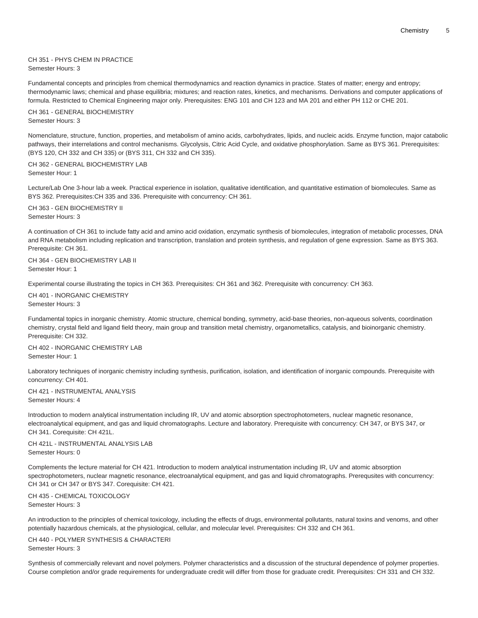CH 351 - PHYS CHEM IN PRACTICE Semester Hours: 3

Fundamental concepts and principles from chemical thermodynamics and reaction dynamics in practice. States of matter; energy and entropy; thermodynamic laws; chemical and phase equilibria; mixtures; and reaction rates, kinetics, and mechanisms. Derivations and computer applications of formula. Restricted to Chemical Engineering major only. Prerequisites: ENG 101 and CH 123 and MA 201 and either PH 112 or CHE 201.

CH 361 - GENERAL BIOCHEMISTRY Semester Hours: 3

Nomenclature, structure, function, properties, and metabolism of amino acids, carbohydrates, lipids, and nucleic acids. Enzyme function, major catabolic pathways, their interrelations and control mechanisms. Glycolysis, Citric Acid Cycle, and oxidative phosphorylation. Same as BYS 361. Prerequisites: (BYS 120, CH 332 and CH 335) or (BYS 311, CH 332 and CH 335).

CH 362 - GENERAL BIOCHEMISTRY LAB Semester Hour: 1

Lecture/Lab One 3-hour lab a week. Practical experience in isolation, qualitative identification, and quantitative estimation of biomolecules. Same as BYS 362. Prerequisites:CH 335 and 336. Prerequisite with concurrency: CH 361.

CH 363 - GEN BIOCHEMISTRY II Semester Hours: 3

A continuation of CH 361 to include fatty acid and amino acid oxidation, enzymatic synthesis of biomolecules, integration of metabolic processes, DNA and RNA metabolism including replication and transcription, translation and protein synthesis, and regulation of gene expression. Same as BYS 363. Prerequisite: CH 361.

CH 364 - GEN BIOCHEMISTRY LAB II Semester Hour: 1

Experimental course illustrating the topics in CH 363. Prerequisites: CH 361 and 362. Prerequisite with concurrency: CH 363.

CH 401 - INORGANIC CHEMISTRY Semester Hours: 3

Fundamental topics in inorganic chemistry. Atomic structure, chemical bonding, symmetry, acid-base theories, non-aqueous solvents, coordination chemistry, crystal field and ligand field theory, main group and transition metal chemistry, organometallics, catalysis, and bioinorganic chemistry. Prerequisite: CH 332.

CH 402 - INORGANIC CHEMISTRY LAB Semester Hour: 1

Laboratory techniques of inorganic chemistry including synthesis, purification, isolation, and identification of inorganic compounds. Prerequisite with concurrency: CH 401.

CH 421 - INSTRUMENTAL ANALYSIS Semester Hours: 4

Introduction to modern analytical instrumentation including IR, UV and atomic absorption spectrophotometers, nuclear magnetic resonance, electroanalytical equipment, and gas and liquid chromatographs. Lecture and laboratory. Prerequisite with concurrency: CH 347, or BYS 347, or CH 341. Corequisite: CH 421L.

CH 421L - INSTRUMENTAL ANALYSIS LAB Semester Hours: 0

Complements the lecture material for CH 421. Introduction to modern analytical instrumentation including IR, UV and atomic absorption spectrophotometers, nuclear magnetic resonance, electroanalytical equipment, and gas and liquid chromatographs. Prerequsites with concurrency: CH 341 or CH 347 or BYS 347. Corequisite: CH 421.

CH 435 - CHEMICAL TOXICOLOGY Semester Hours: 3

An introduction to the principles of chemical toxicology, including the effects of drugs, environmental pollutants, natural toxins and venoms, and other potentially hazardous chemicals, at the physiological, cellular, and molecular level. Prerequisites: CH 332 and CH 361.

CH 440 - POLYMER SYNTHESIS & CHARACTERI Semester Hours: 3

Synthesis of commercially relevant and novel polymers. Polymer characteristics and a discussion of the structural dependence of polymer properties. Course completion and/or grade requirements for undergraduate credit will differ from those for graduate credit. Prerequisites: CH 331 and CH 332.